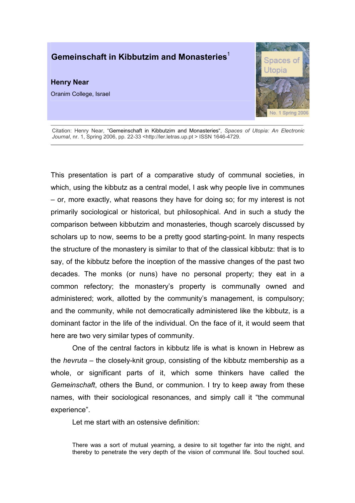# Gemeinschaft in Kibbutzim and Monasteries<sup>1</sup>

## Henry Near

Oranim College, Israel



Citation: Henry Near, "Gemeinschaft in Kibbutzim and Monasteries", Spaces of Utopia: An Electronic Journal, nr. 1, Spring 2006, pp. 22-33 <http://ler.letras.up.pt > ISSN 1646-4729.

This presentation is part of a comparative study of communal societies, in which, using the kibbutz as a central model, I ask why people live in communes – or, more exactly, what reasons they have for doing so; for my interest is not primarily sociological or historical, but philosophical. And in such a study the comparison between kibbutzim and monasteries, though scarcely discussed by scholars up to now, seems to be a pretty good starting-point. In many respects the structure of the monastery is similar to that of the classical kibbutz: that is to say, of the kibbutz before the inception of the massive changes of the past two decades. The monks (or nuns) have no personal property; they eat in a common refectory; the monastery's property is communally owned and administered; work, allotted by the community's management, is compulsory; and the community, while not democratically administered like the kibbutz, is a dominant factor in the life of the individual. On the face of it, it would seem that here are two very similar types of community.

One of the central factors in kibbutz life is what is known in Hebrew as the hevruta – the closely-knit group, consisting of the kibbutz membership as a whole, or significant parts of it, which some thinkers have called the Gemeinschaft, others the Bund, or communion. I try to keep away from these names, with their sociological resonances, and simply call it "the communal experience".

Let me start with an ostensive definition:

There was a sort of mutual yearning, a desire to sit together far into the night, and thereby to penetrate the very depth of the vision of communal life. Soul touched soul.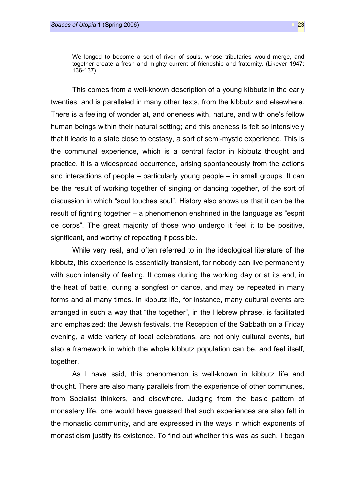We longed to become a sort of river of souls, whose tributaries would merge, and together create a fresh and mighty current of friendship and fraternity. (Likever 1947: 136-137)

This comes from a well-known description of a young kibbutz in the early twenties, and is paralleled in many other texts, from the kibbutz and elsewhere. There is a feeling of wonder at, and oneness with, nature, and with one's fellow human beings within their natural setting; and this oneness is felt so intensively that it leads to a state close to ecstasy, a sort of semi-mystic experience. This is the communal experience, which is a central factor in kibbutz thought and practice. It is a widespread occurrence, arising spontaneously from the actions and interactions of people – particularly young people – in small groups. It can be the result of working together of singing or dancing together, of the sort of discussion in which "soul touches soul". History also shows us that it can be the result of fighting together – a phenomenon enshrined in the language as "esprit de corps". The great majority of those who undergo it feel it to be positive, significant, and worthy of repeating if possible.

While very real, and often referred to in the ideological literature of the kibbutz, this experience is essentially transient, for nobody can live permanently with such intensity of feeling. It comes during the working day or at its end, in the heat of battle, during a songfest or dance, and may be repeated in many forms and at many times. In kibbutz life, for instance, many cultural events are arranged in such a way that "the together", in the Hebrew phrase, is facilitated and emphasized: the Jewish festivals, the Reception of the Sabbath on a Friday evening, a wide variety of local celebrations, are not only cultural events, but also a framework in which the whole kibbutz population can be, and feel itself, together.

As I have said, this phenomenon is well-known in kibbutz life and thought. There are also many parallels from the experience of other communes, from Socialist thinkers, and elsewhere. Judging from the basic pattern of monastery life, one would have guessed that such experiences are also felt in the monastic community, and are expressed in the ways in which exponents of monasticism justify its existence. To find out whether this was as such, I began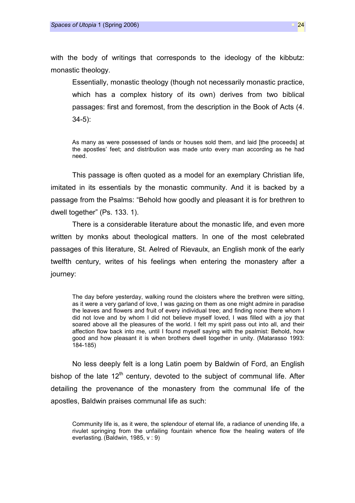with the body of writings that corresponds to the ideology of the kibbutz: monastic theology.

Essentially, monastic theology (though not necessarily monastic practice, which has a complex history of its own) derives from two biblical passages: first and foremost, from the description in the Book of Acts (4. 34-5):

As many as were possessed of lands or houses sold them, and laid [the proceeds] at the apostles' feet; and distribution was made unto every man according as he had need.

This passage is often quoted as a model for an exemplary Christian life, imitated in its essentials by the monastic community. And it is backed by a passage from the Psalms: "Behold how goodly and pleasant it is for brethren to dwell together" (Ps. 133. 1).

There is a considerable literature about the monastic life, and even more written by monks about theological matters. In one of the most celebrated passages of this literature, St. Aelred of Rievaulx, an English monk of the early twelfth century, writes of his feelings when entering the monastery after a journey:

The day before yesterday, walking round the cloisters where the brethren were sitting, as it were a very garland of love, I was gazing on them as one might admire in paradise the leaves and flowers and fruit of every individual tree; and finding none there whom I did not love and by whom I did not believe myself loved, I was filled with a joy that soared above all the pleasures of the world. I felt my spirit pass out into all, and their affection flow back into me, until I found myself saying with the psalmist: Behold, how good and how pleasant it is when brothers dwell together in unity. (Matarasso 1993: 184-185)

No less deeply felt is a long Latin poem by Baldwin of Ford, an English bishop of the late  $12<sup>th</sup>$  century, devoted to the subject of communal life. After detailing the provenance of the monastery from the communal life of the apostles, Baldwin praises communal life as such:

Community life is, as it were, the splendour of eternal life, a radiance of unending life, a rivulet springing from the unfailing fountain whence flow the healing waters of life everlasting. (Baldwin, 1985, v : 9)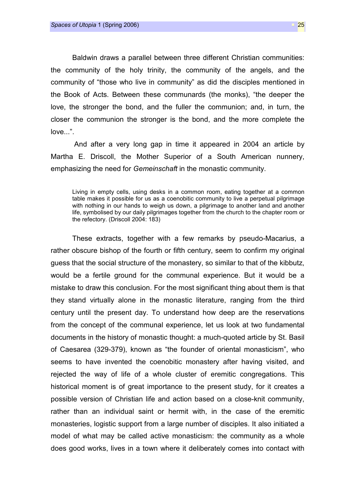Baldwin draws a parallel between three different Christian communities: the community of the holy trinity, the community of the angels, and the community of "those who live in community" as did the disciples mentioned in the Book of Acts. Between these communards (the monks), "the deeper the love, the stronger the bond, and the fuller the communion; and, in turn, the closer the communion the stronger is the bond, and the more complete the love...".

 And after a very long gap in time it appeared in 2004 an article by Martha E. Driscoll, the Mother Superior of a South American nunnery, emphasizing the need for *Gemeinschaft* in the monastic community.

Living in empty cells, using desks in a common room, eating together at a common table makes it possible for us as a coenobitic community to live a perpetual pilgrimage with nothing in our hands to weigh us down, a pilgrimage to another land and another life, symbolised by our daily pilgrimages together from the church to the chapter room or the refectory. (Driscoll 2004: 183)

These extracts, together with a few remarks by pseudo-Macarius, a rather obscure bishop of the fourth or fifth century, seem to confirm my original guess that the social structure of the monastery, so similar to that of the kibbutz, would be a fertile ground for the communal experience. But it would be a mistake to draw this conclusion. For the most significant thing about them is that they stand virtually alone in the monastic literature, ranging from the third century until the present day. To understand how deep are the reservations from the concept of the communal experience, let us look at two fundamental documents in the history of monastic thought: a much-quoted article by St. Basil of Caesarea (329-379), known as "the founder of oriental monasticism", who seems to have invented the coenobitic monastery after having visited, and rejected the way of life of a whole cluster of eremitic congregations. This historical moment is of great importance to the present study, for it creates a possible version of Christian life and action based on a close-knit community, rather than an individual saint or hermit with, in the case of the eremitic monasteries, logistic support from a large number of disciples. It also initiated a model of what may be called active monasticism: the community as a whole does good works, lives in a town where it deliberately comes into contact with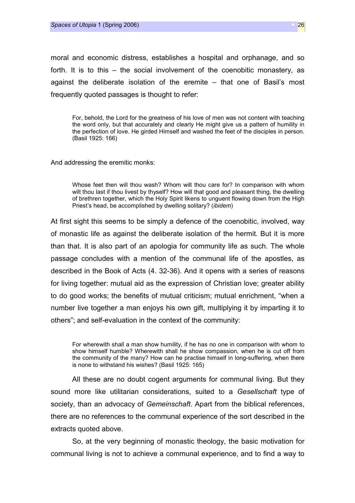moral and economic distress, establishes a hospital and orphanage, and so forth. It is to this – the social involvement of the coenobitic monastery, as against the deliberate isolation of the eremite – that one of Basil's most frequently quoted passages is thought to refer:

For, behold, the Lord for the greatness of his love of men was not content with teaching the word only, but that accurately and clearly He might give us a pattern of humility in the perfection of love. He girded Himself and washed the feet of the disciples in person. (Basil 1925: 166)

And addressing the eremitic monks:

Whose feet then will thou wash? Whom wilt thou care for? In comparison with whom wilt thou last if thou livest by thyself? How will that good and pleasant thing, the dwelling of brethren together, which the Holy Spirit likens to unguent flowing down from the High Priest's head, be accomplished by dwelling solitary? (ibidem)

At first sight this seems to be simply a defence of the coenobitic, involved, way of monastic life as against the deliberate isolation of the hermit. But it is more than that. It is also part of an apologia for community life as such. The whole passage concludes with a mention of the communal life of the apostles, as described in the Book of Acts (4. 32-36). And it opens with a series of reasons for living together: mutual aid as the expression of Christian love; greater ability to do good works; the benefits of mutual criticism; mutual enrichment, "when a number live together a man enjoys his own gift, multiplying it by imparting it to others"; and self-evaluation in the context of the community:

For wherewith shall a man show humility, if he has no one in comparison with whom to show himself humble? Wherewith shall he show compassion, when he is cut off from the community of the many? How can he practise himself in long-suffering, when there is none to withstand his wishes? (Basil 1925: 165)

All these are no doubt cogent arguments for communal living. But they sound more like utilitarian considerations, suited to a Gesellschaft type of society, than an advocacy of Gemeinschaft. Apart from the biblical references, there are no references to the communal experience of the sort described in the extracts quoted above.

So, at the very beginning of monastic theology, the basic motivation for communal living is not to achieve a communal experience, and to find a way to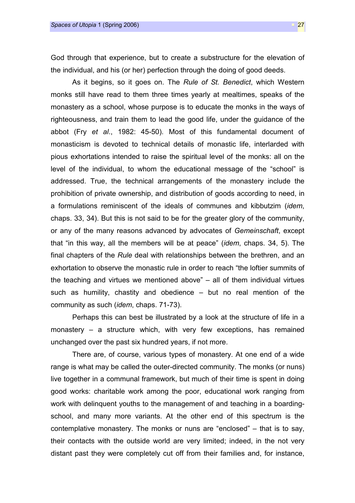God through that experience, but to create a substructure for the elevation of the individual, and his (or her) perfection through the doing of good deeds.

As it begins, so it goes on. The Rule of St. Benedict, which Western monks still have read to them three times yearly at mealtimes, speaks of the monastery as a school, whose purpose is to educate the monks in the ways of righteousness, and train them to lead the good life, under the guidance of the abbot (Fry et al., 1982: 45-50). Most of this fundamental document of monasticism is devoted to technical details of monastic life, interlarded with pious exhortations intended to raise the spiritual level of the monks: all on the level of the individual, to whom the educational message of the "school" is addressed. True, the technical arrangements of the monastery include the prohibition of private ownership, and distribution of goods according to need, in a formulations reminiscent of the ideals of communes and kibbutzim (idem, chaps. 33, 34). But this is not said to be for the greater glory of the community, or any of the many reasons advanced by advocates of Gemeinschaft, except that "in this way, all the members will be at peace" (idem, chaps. 34, 5). The final chapters of the Rule deal with relationships between the brethren, and an exhortation to observe the monastic rule in order to reach "the loftier summits of the teaching and virtues we mentioned above" – all of them individual virtues such as humility, chastity and obedience – but no real mention of the community as such (idem, chaps. 71-73).

Perhaps this can best be illustrated by a look at the structure of life in a monastery – a structure which, with very few exceptions, has remained unchanged over the past six hundred years, if not more.

There are, of course, various types of monastery. At one end of a wide range is what may be called the outer-directed community. The monks (or nuns) live together in a communal framework, but much of their time is spent in doing good works: charitable work among the poor, educational work ranging from work with delinquent youths to the management of and teaching in a boardingschool, and many more variants. At the other end of this spectrum is the contemplative monastery. The monks or nuns are "enclosed" – that is to say, their contacts with the outside world are very limited; indeed, in the not very distant past they were completely cut off from their families and, for instance,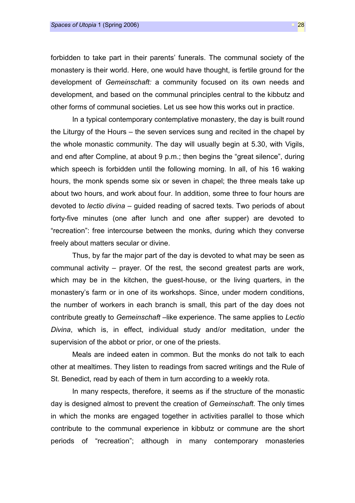forbidden to take part in their parents' funerals. The communal society of the monastery is their world. Here, one would have thought, is fertile ground for the development of Gemeinschaft: a community focused on its own needs and development, and based on the communal principles central to the kibbutz and other forms of communal societies. Let us see how this works out in practice.

In a typical contemporary contemplative monastery, the day is built round the Liturgy of the Hours – the seven services sung and recited in the chapel by the whole monastic community. The day will usually begin at 5.30, with Vigils, and end after Compline, at about 9 p.m.; then begins the "great silence", during which speech is forbidden until the following morning. In all, of his 16 waking hours, the monk spends some six or seven in chapel; the three meals take up about two hours, and work about four. In addition, some three to four hours are devoted to lectio divina – guided reading of sacred texts. Two periods of about forty-five minutes (one after lunch and one after supper) are devoted to "recreation": free intercourse between the monks, during which they converse freely about matters secular or divine.

Thus, by far the major part of the day is devoted to what may be seen as communal activity – prayer. Of the rest, the second greatest parts are work, which may be in the kitchen, the guest-house, or the living quarters, in the monastery's farm or in one of its workshops. Since, under modern conditions, the number of workers in each branch is small, this part of the day does not contribute greatly to Gemeinschaft-like experience. The same applies to Lectio Divina, which is, in effect, individual study and/or meditation, under the supervision of the abbot or prior, or one of the priests.

Meals are indeed eaten in common. But the monks do not talk to each other at mealtimes. They listen to readings from sacred writings and the Rule of St. Benedict, read by each of them in turn according to a weekly rota.

In many respects, therefore, it seems as if the structure of the monastic day is designed almost to prevent the creation of Gemeinschaft. The only times in which the monks are engaged together in activities parallel to those which contribute to the communal experience in kibbutz or commune are the short periods of "recreation"; although in many contemporary monasteries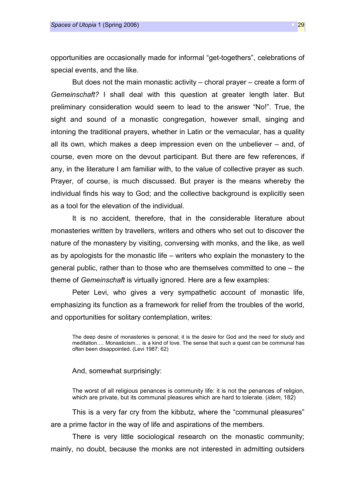opportunities are occasionally made for informal "get-togethers", celebrations of special events, and the like.

But does not the main monastic activity – choral prayer – create a form of Gemeinschaft? I shall deal with this question at greater length later. But preliminary consideration would seem to lead to the answer "No!". True, the sight and sound of a monastic congregation, however small, singing and intoning the traditional prayers, whether in Latin or the vernacular, has a quality all its own, which makes a deep impression even on the unbeliever – and, of course, even more on the devout participant. But there are few references, if any, in the literature I am familiar with, to the value of collective prayer as such. Prayer, of course, is much discussed. But prayer is the means whereby the individual finds his way to God; and the collective background is explicitly seen as a tool for the elevation of the individual.

It is no accident, therefore, that in the considerable literature about monasteries written by travellers, writers and others who set out to discover the nature of the monastery by visiting, conversing with monks, and the like, as well as by apologists for the monastic life – writers who explain the monastery to the general public, rather than to those who are themselves committed to one – the theme of Gemeinschaft is virtually ignored. Here are a few examples:

Peter Levi, who gives a very sympathetic account of monastic life, emphasizing its function as a framework for relief from the troubles of the world, and opportunities for solitary contemplation, writes:

The deep desire of monasteries is personal; it is the desire for God and the need for study and meditation…. Monasticism… is a kind of love. The sense that such a quest can be communal has often been disappointed. (Levi 1987: 62)

#### And, somewhat surprisingly:

The worst of all religious penances is community life: it is not the penances of religion, which are private, but its communal pleasures which are hard to tolerate. *(idem, 182)* 

This is a very far cry from the kibbutz, where the "communal pleasures" are a prime factor in the way of life and aspirations of the members.

There is very little sociological research on the monastic community; mainly, no doubt, because the monks are not interested in admitting outsiders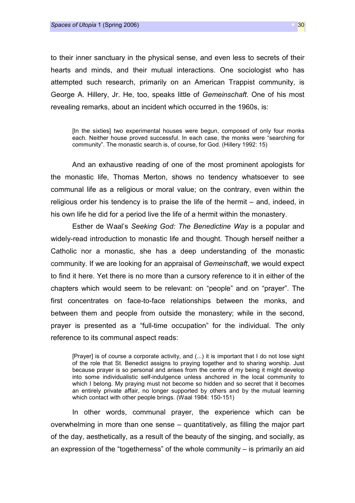to their inner sanctuary in the physical sense, and even less to secrets of their hearts and minds, and their mutual interactions. One sociologist who has attempted such research, primarily on an American Trappist community, is George A. Hillery, Jr. He, too, speaks little of Gemeinschaft. One of his most revealing remarks, about an incident which occurred in the 1960s, is:

[In the sixties] two experimental houses were begun, composed of only four monks each. Neither house proved successful. In each case, the monks were "searching for community". The monastic search is, of course, for God. (Hillery 1992: 15)

And an exhaustive reading of one of the most prominent apologists for the monastic life, Thomas Merton, shows no tendency whatsoever to see communal life as a religious or moral value; on the contrary, even within the religious order his tendency is to praise the life of the hermit – and, indeed, in his own life he did for a period live the life of a hermit within the monastery.

Esther de Waal's Seeking God: The Benedictine Way is a popular and widely-read introduction to monastic life and thought. Though herself neither a Catholic nor a monastic, she has a deep understanding of the monastic community. If we are looking for an appraisal of Gemeinschaft, we would expect to find it here. Yet there is no more than a cursory reference to it in either of the chapters which would seem to be relevant: on "people" and on "prayer". The first concentrates on face-to-face relationships between the monks, and between them and people from outside the monastery; while in the second, prayer is presented as a "full-time occupation" for the individual. The only reference to its communal aspect reads:

[Prayer] is of course a corporate activity, and (...) it is important that I do not lose sight of the role that St. Benedict assigns to praying together and to sharing worship. Just because prayer is so personal and arises from the centre of my being it might develop into some individualistic self-indulgence unless anchored in the local community to which I belong. My praying must not become so hidden and so secret that it becomes an entirely private affair, no longer supported by others and by the mutual learning which contact with other people brings. (Waal 1984: 150-151)

In other words, communal prayer, the experience which can be overwhelming in more than one sense – quantitatively, as filling the major part of the day, aesthetically, as a result of the beauty of the singing, and socially, as an expression of the "togetherness" of the whole community – is primarily an aid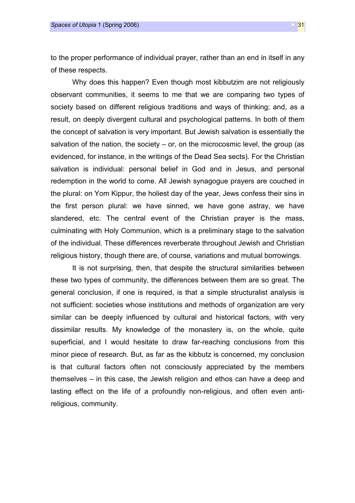to the proper performance of individual prayer, rather than an end in itself in any of these respects.

Why does this happen? Even though most kibbutzim are not religiously observant communities, it seems to me that we are comparing two types of society based on different religious traditions and ways of thinking; and, as a result, on deeply divergent cultural and psychological patterns. In both of them the concept of salvation is very important. But Jewish salvation is essentially the salvation of the nation, the society  $-$  or, on the microcosmic level, the group (as evidenced, for instance, in the writings of the Dead Sea sects). For the Christian salvation is individual: personal belief in God and in Jesus, and personal redemption in the world to come. All Jewish synagogue prayers are couched in the plural: on Yom Kippur, the holiest day of the year, Jews confess their sins in the first person plural: we have sinned, we have gone astray, we have slandered, etc. The central event of the Christian prayer is the mass, culminating with Holy Communion, which is a preliminary stage to the salvation of the individual. These differences reverberate throughout Jewish and Christian religious history, though there are, of course, variations and mutual borrowings.

It is not surprising, then, that despite the structural similarities between these two types of community, the differences between them are so great. The general conclusion, if one is required, is that a simple structuralist analysis is not sufficient: societies whose institutions and methods of organization are very similar can be deeply influenced by cultural and historical factors, with very dissimilar results. My knowledge of the monastery is, on the whole, quite superficial, and I would hesitate to draw far-reaching conclusions from this minor piece of research. But, as far as the kibbutz is concerned, my conclusion is that cultural factors often not consciously appreciated by the members themselves – in this case, the Jewish religion and ethos can have a deep and lasting effect on the life of a profoundly non-religious, and often even antireligious, community.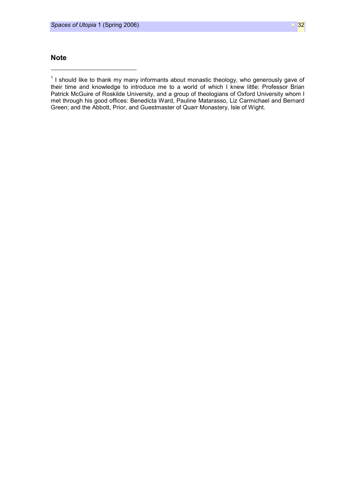## **Note**

l,

 $1$  I should like to thank my many informants about monastic theology, who generously gave of their time and knowledge to introduce me to a world of which I knew little: Professor Brian Patrick McGuire of Roskilde University, and a group of theologians of Oxford University whom I met through his good offices: Benedicta Ward, Pauline Matarasso, Liz Carmichael and Bernard Green; and the Abbott, Prior, and Guestmaster of Quarr Monastery, Isle of Wight.